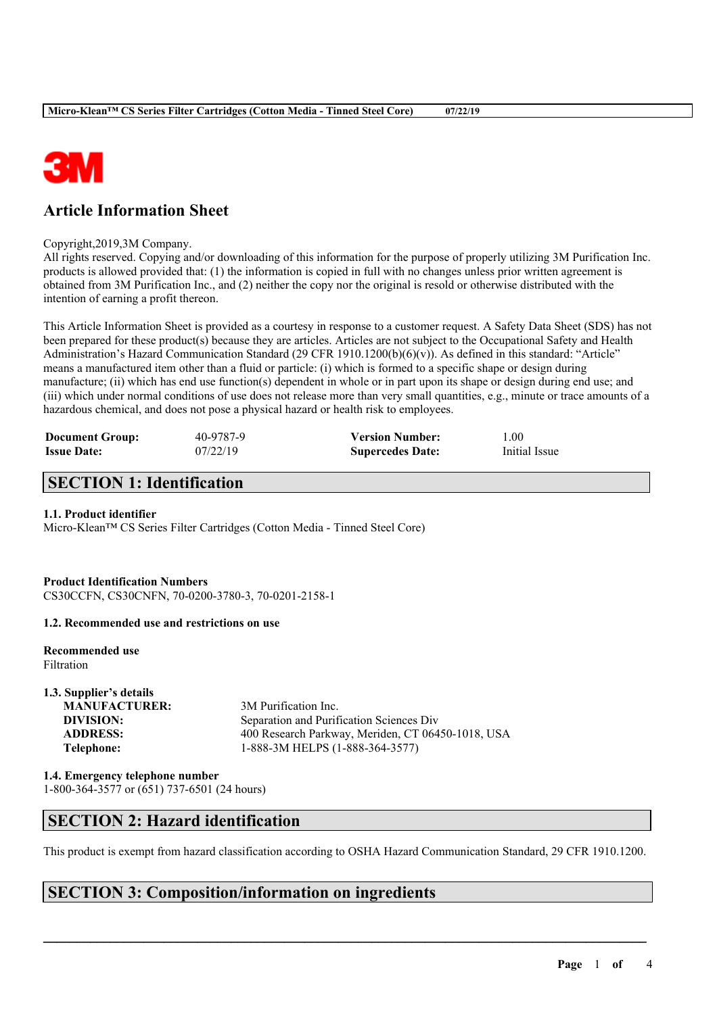

## **Article Information Sheet**

Copyright,2019,3M Company.

All rights reserved. Copying and/or downloading of this information for the purpose of properly utilizing 3M Purification Inc. products is allowed provided that: (1) the information is copied in full with no changes unless prior written agreement is obtained from 3M Purification Inc., and (2) neither the copy nor the original is resold or otherwise distributed with the intention of earning a profit thereon.

This Article Information Sheet is provided as a courtesy in response to a customer request. A Safety Data Sheet (SDS) has not been prepared for these product(s) because they are articles. Articles are not subject to the Occupational Safety and Health Administration's Hazard Communication Standard (29 CFR 1910.1200(b)(6)(v)). As defined in this standard: "Article" means a manufactured item other than a fluid or particle: (i) which is formed to a specific shape or design during manufacture; (ii) which has end use function(s) dependent in whole or in part upon its shape or design during end use; and (iii) which under normal conditions of use does not release more than very small quantities, e.g., minute or trace amounts of a hazardous chemical, and does not pose a physical hazard or health risk to employees.

| <b>Document Group:</b> | 40-9787-9 | <b>Version Number:</b>  | 0.00          |
|------------------------|-----------|-------------------------|---------------|
| <b>Issue Date:</b>     | 07/22/19  | <b>Supercedes Date:</b> | Initial Issue |

## **SECTION 1: Identification**

#### **1.1. Product identifier**

Micro-Klean™ CS Series Filter Cartridges (Cotton Media - Tinned Steel Core)

**Product Identification Numbers** CS30CCFN, CS30CNFN, 70-0200-3780-3, 70-0201-2158-1

**1.2. Recommended use and restrictions on use**

**Recommended use**

Filtration

**1.3. Supplier's details MANUFACTURER:** 3M Purification Inc.

**DIVISION:** Separation and Purification Sciences Div **ADDRESS:** 400 Research Parkway, Meriden, CT 06450-1018, USA **Telephone:** 1-888-3M HELPS (1-888-364-3577)

**1.4. Emergency telephone number**

1-800-364-3577 or (651) 737-6501 (24 hours)

## **SECTION 2: Hazard identification**

This product is exempt from hazard classification according to OSHA Hazard Communication Standard, 29 CFR 1910.1200.

 $\mathcal{L}_\mathcal{L} = \mathcal{L}_\mathcal{L} = \mathcal{L}_\mathcal{L} = \mathcal{L}_\mathcal{L} = \mathcal{L}_\mathcal{L} = \mathcal{L}_\mathcal{L} = \mathcal{L}_\mathcal{L} = \mathcal{L}_\mathcal{L} = \mathcal{L}_\mathcal{L} = \mathcal{L}_\mathcal{L} = \mathcal{L}_\mathcal{L} = \mathcal{L}_\mathcal{L} = \mathcal{L}_\mathcal{L} = \mathcal{L}_\mathcal{L} = \mathcal{L}_\mathcal{L} = \mathcal{L}_\mathcal{L} = \mathcal{L}_\mathcal{L}$ 

## **SECTION 3: Composition/information on ingredients**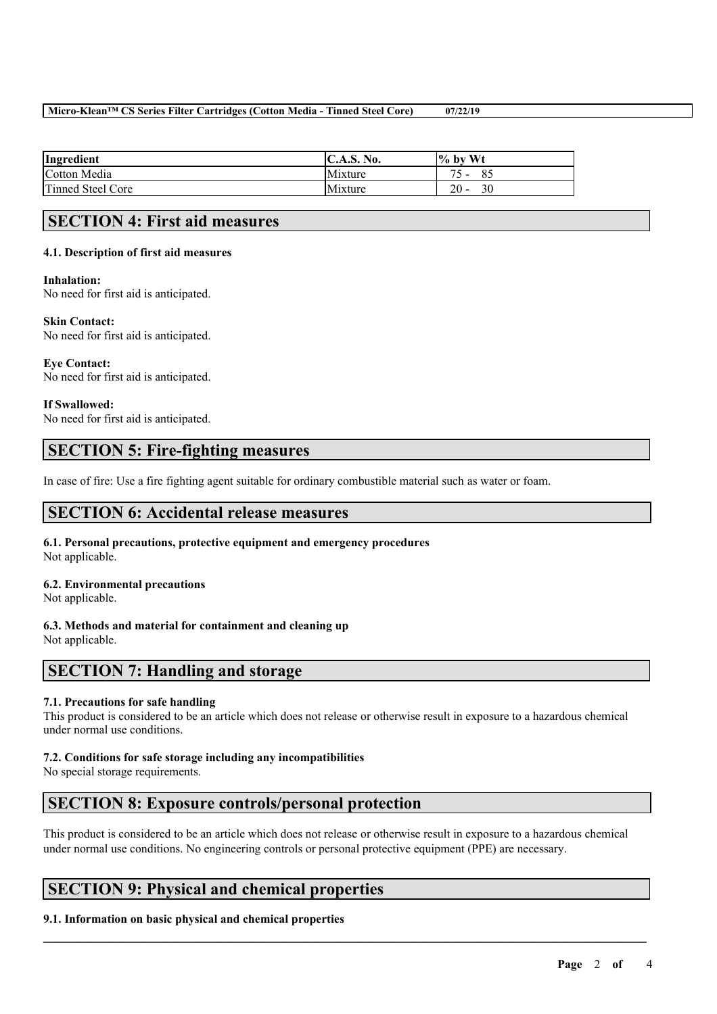#### **Micro-Klean™ CS Series Filter Cartridges (Cotton Media - Tinned Steel Core) 07/22/19**

| Ingredient        | <b>IC.A.S. No.</b> | $\frac{1}{6}$ by Wt            |
|-------------------|--------------------|--------------------------------|
| Cotton Media      | Mixture            | Ō.<br>$\overline{\phantom{0}}$ |
| Tinned Steel Core | Mixture            | 20<br>30                       |

## **SECTION 4: First aid measures**

#### **4.1. Description of first aid measures**

#### **Inhalation:**

No need for first aid is anticipated.

### **Skin Contact:**

No need for first aid is anticipated.

**Eye Contact:** No need for first aid is anticipated.

**If Swallowed:** No need for first aid is anticipated.

## **SECTION 5: Fire-fighting measures**

In case of fire: Use a fire fighting agent suitable for ordinary combustible material such as water or foam.

### **SECTION 6: Accidental release measures**

#### **6.1. Personal precautions, protective equipment and emergency procedures** Not applicable.

#### **6.2. Environmental precautions**

Not applicable.

# **6.3. Methods and material for containment and cleaning up**

Not applicable.

## **SECTION 7: Handling and storage**

#### **7.1. Precautions for safe handling**

This product is considered to be an article which does not release or otherwise result in exposure to a hazardous chemical under normal use conditions.

#### **7.2. Conditions for safe storage including any incompatibilities**

No special storage requirements.

### **SECTION 8: Exposure controls/personal protection**

This product is considered to be an article which does not release or otherwise result in exposure to a hazardous chemical under normal use conditions. No engineering controls or personal protective equipment (PPE) are necessary.

 $\mathcal{L}_\mathcal{L} = \mathcal{L}_\mathcal{L} = \mathcal{L}_\mathcal{L} = \mathcal{L}_\mathcal{L} = \mathcal{L}_\mathcal{L} = \mathcal{L}_\mathcal{L} = \mathcal{L}_\mathcal{L} = \mathcal{L}_\mathcal{L} = \mathcal{L}_\mathcal{L} = \mathcal{L}_\mathcal{L} = \mathcal{L}_\mathcal{L} = \mathcal{L}_\mathcal{L} = \mathcal{L}_\mathcal{L} = \mathcal{L}_\mathcal{L} = \mathcal{L}_\mathcal{L} = \mathcal{L}_\mathcal{L} = \mathcal{L}_\mathcal{L}$ 

## **SECTION 9: Physical and chemical properties**

#### **9.1. Information on basic physical and chemical properties**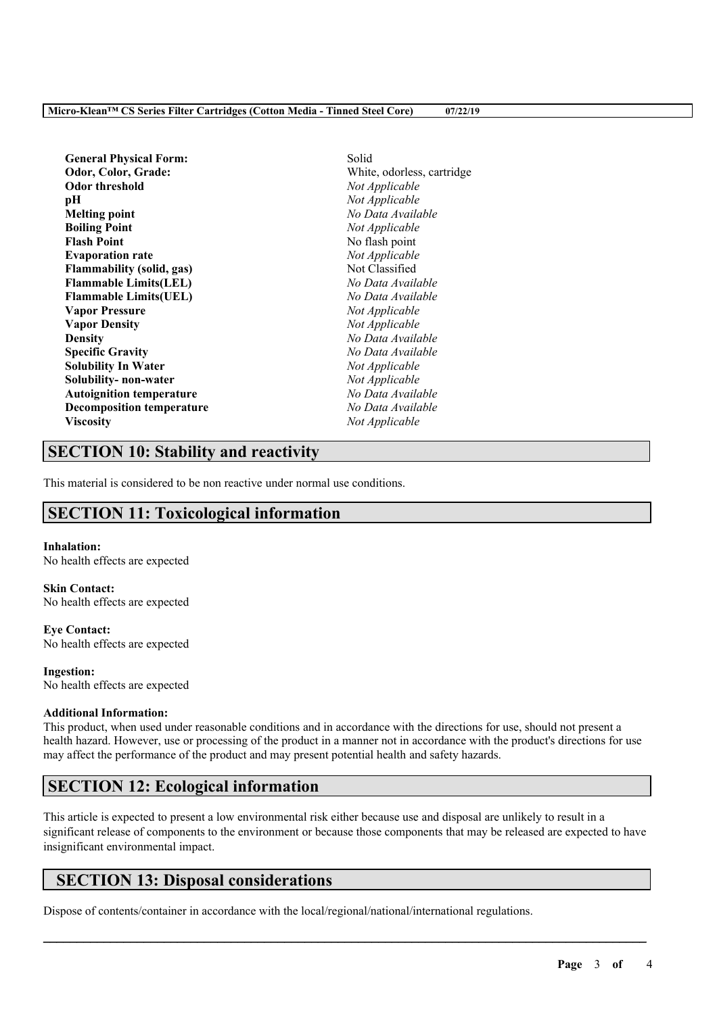**General Physical Form:** Solid **Odor, Color, Grade:** White, odorless, cartridge **Odor threshold** *Not Applicable* **pH** *Not Applicable* **Melting point** *No Data Available* **Boiling Point** *Not Applicable* **Flash Point** No flash point **Evaporation rate** *Not Applicable* **Flammability (solid, gas)** Not Classified **Flammable Limits(LEL)** *No Data Available* **Flammable Limits(UEL)** *No Data Available* **Vapor Pressure** *Not Applicable* **Vapor Density** *Not Applicable* **Density** *No Data Available* **Specific Gravity** *No Data Available* **Solubility In Water** *Not Applicable* **Solubility- non-water** *Not Applicable* **Autoignition temperature** *No Data Available* **Decomposition temperature** *No Data Available* **Viscosity** *Not Applicable*

## **SECTION 10: Stability and reactivity**

This material is considered to be non reactive under normal use conditions.

## **SECTION 11: Toxicological information**

### **Inhalation:**

No health effects are expected

#### **Skin Contact:** No health effects are expected

**Eye Contact:** No health effects are expected

**Ingestion:** No health effects are expected

### **Additional Information:**

This product, when used under reasonable conditions and in accordance with the directions for use, should not present a health hazard. However, use or processing of the product in a manner not in accordance with the product's directions for use may affect the performance of the product and may present potential health and safety hazards.

## **SECTION 12: Ecological information**

This article is expected to present a low environmental risk either because use and disposal are unlikely to result in a significant release of components to the environment or because those components that may be released are expected to have insignificant environmental impact.

 $\mathcal{L}_\mathcal{L} = \mathcal{L}_\mathcal{L} = \mathcal{L}_\mathcal{L} = \mathcal{L}_\mathcal{L} = \mathcal{L}_\mathcal{L} = \mathcal{L}_\mathcal{L} = \mathcal{L}_\mathcal{L} = \mathcal{L}_\mathcal{L} = \mathcal{L}_\mathcal{L} = \mathcal{L}_\mathcal{L} = \mathcal{L}_\mathcal{L} = \mathcal{L}_\mathcal{L} = \mathcal{L}_\mathcal{L} = \mathcal{L}_\mathcal{L} = \mathcal{L}_\mathcal{L} = \mathcal{L}_\mathcal{L} = \mathcal{L}_\mathcal{L}$ 

## **SECTION 13: Disposal considerations**

Dispose of contents/container in accordance with the local/regional/national/international regulations.